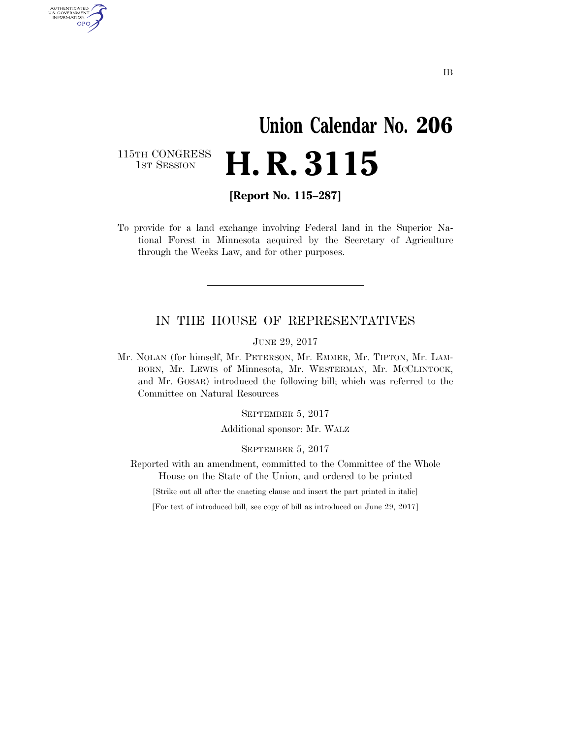# **Union Calendar No. 206 H. R. 3115**

115TH CONGRESS<br>1st Session

AUTHENTICATED<br>U.S. GOVERNMENT<br>INFORMATION GPO

**[Report No. 115–287]** 

To provide for a land exchange involving Federal land in the Superior National Forest in Minnesota acquired by the Secretary of Agriculture through the Weeks Law, and for other purposes.

## IN THE HOUSE OF REPRESENTATIVES

JUNE 29, 2017

Mr. NOLAN (for himself, Mr. PETERSON, Mr. EMMER, Mr. TIPTON, Mr. LAM-BORN, Mr. LEWIS of Minnesota, Mr. WESTERMAN, Mr. MCCLINTOCK, and Mr. GOSAR) introduced the following bill; which was referred to the Committee on Natural Resources

SEPTEMBER 5, 2017

Additional sponsor: Mr. WALZ

SEPTEMBER 5, 2017

Reported with an amendment, committed to the Committee of the Whole House on the State of the Union, and ordered to be printed

[Strike out all after the enacting clause and insert the part printed in italic]

[For text of introduced bill, see copy of bill as introduced on June 29, 2017]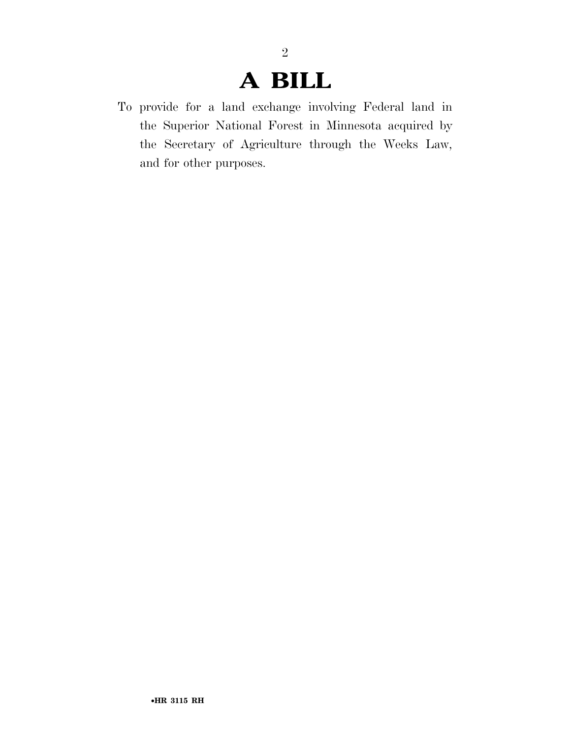# **A BILL**

2

To provide for a land exchange involving Federal land in the Superior National Forest in Minnesota acquired by the Secretary of Agriculture through the Weeks Law, and for other purposes.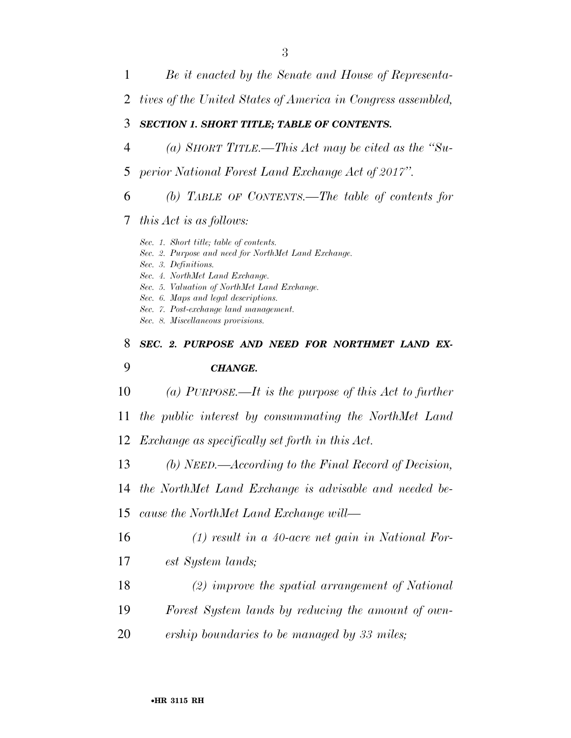- *Be it enacted by the Senate and House of Representa- tives of the United States of America in Congress assembled, SECTION 1. SHORT TITLE; TABLE OF CONTENTS. (a) SHORT TITLE.—This Act may be cited as the ''Su- perior National Forest Land Exchange Act of 2017''. (b) TABLE OF CONTENTS.—The table of contents for this Act is as follows: Sec. 1. Short title; table of contents. Sec. 2. Purpose and need for NorthMet Land Exchange. Sec. 3. Definitions. Sec. 4. NorthMet Land Exchange. Sec. 5. Valuation of NorthMet Land Exchange. Sec. 6. Maps and legal descriptions. Sec. 7. Post-exchange land management. Sec. 8. Miscellaneous provisions. SEC. 2. PURPOSE AND NEED FOR NORTHMET LAND EX- CHANGE. (a) PURPOSE.—It is the purpose of this Act to further the public interest by consummating the NorthMet Land Exchange as specifically set forth in this Act. (b) NEED.—According to the Final Record of Decision, the NorthMet Land Exchange is advisable and needed be- cause the NorthMet Land Exchange will— (1) result in a 40-acre net gain in National For- est System lands;* 
	- *(2) improve the spatial arrangement of National*
	- *Forest System lands by reducing the amount of own-*
	- *ership boundaries to be managed by 33 miles;*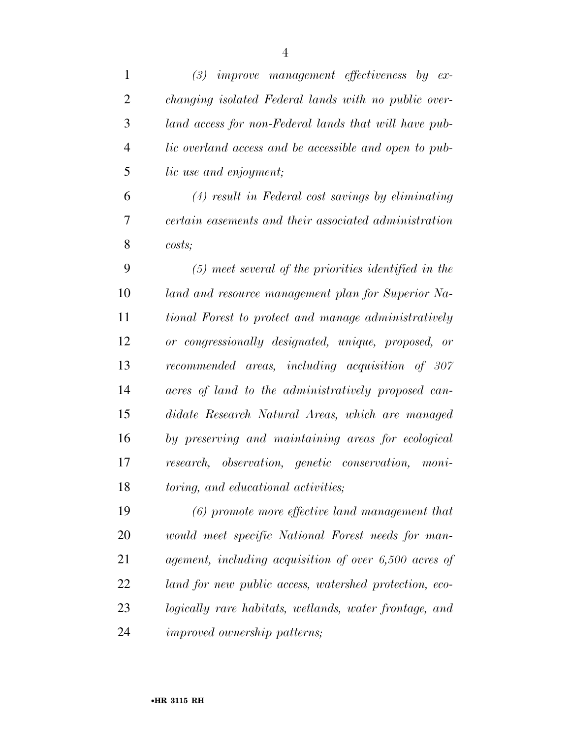| $\mathbf{1}$   | (3)<br><i>improve management effectiveness by ex-</i>  |
|----------------|--------------------------------------------------------|
| $\overline{2}$ | changing isolated Federal lands with no public over-   |
| 3              | land access for non-Federal lands that will have pub-  |
| $\overline{4}$ | lic overland access and be accessible and open to pub- |
| 5              | lic use and enjoyment;                                 |
| 6              | $(4)$ result in Federal cost savings by eliminating    |
| 7              | certain easements and their associated administration  |
| 8              | costs                                                  |
| 9              | $(5)$ meet several of the priorities identified in the |
| 10             | land and resource management plan for Superior Na-     |
| 11             | tional Forest to protect and manage administratively   |
| 12             | or congressionally designated, unique, proposed, or    |
| 13             | recommended areas, including acquisition of 307        |
| 14             | acres of land to the administratively proposed can-    |
| 15             | didate Research Natural Areas, which are managed       |
| 16             | by preserving and maintaining areas for ecological     |
| 17             | research, observation, genetic conservation, moni-     |
| 18             | toring, and educational activities;                    |
| 19             | (6) promote more effective land management that        |
| 20             | would meet specific National Forest needs for man-     |
| 21             | agement, including acquisition of over 6,500 acres of  |
| 22             | land for new public access, watershed protection, eco- |
| 23             | logically rare habitats, wetlands, water frontage, and |
| 24             | <i>improved ownership</i> patterns;                    |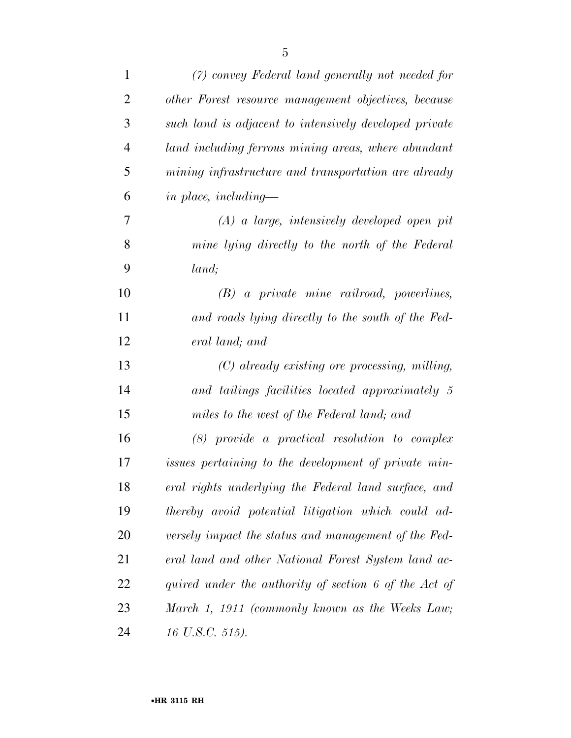| $\mathbf{1}$   | (7) convey Federal land generally not needed for       |
|----------------|--------------------------------------------------------|
| $\overline{2}$ | other Forest resource management objectives, because   |
| 3              | such land is adjacent to intensively developed private |
| $\overline{4}$ | land including ferrous mining areas, where abundant    |
| 5              | mining infrastructure and transportation are already   |
| 6              | in place, including—                                   |
| 7              | $(A)$ a large, intensively developed open pit          |
| 8              | mine lying directly to the north of the Federal        |
| 9              | land;                                                  |
| 10             | $(B)$ a private mine railroad, powerlines,             |
| 11             | and roads lying directly to the south of the Fed-      |
| 12             | eral land; and                                         |
| 13             | $(C)$ already existing ore processing, milling,        |
| 14             | and tailings facilities located approximately 5        |
| 15             | miles to the west of the Federal land; and             |
| 16             | $(8)$ provide a practical resolution to complex        |
| 17             | issues pertaining to the development of private min-   |
| 18             | eral rights underlying the Federal land surface, and   |
| 19             | thereby avoid potential litigation which could ad-     |
| 20             | versely impact the status and management of the Fed-   |
| 21             | eral land and other National Forest System land ac-    |
| 22             | quired under the authority of section 6 of the Act of  |
| 23             | March 1, 1911 (commonly known as the Weeks Law;        |
| 24             | 16 U.S.C. 515).                                        |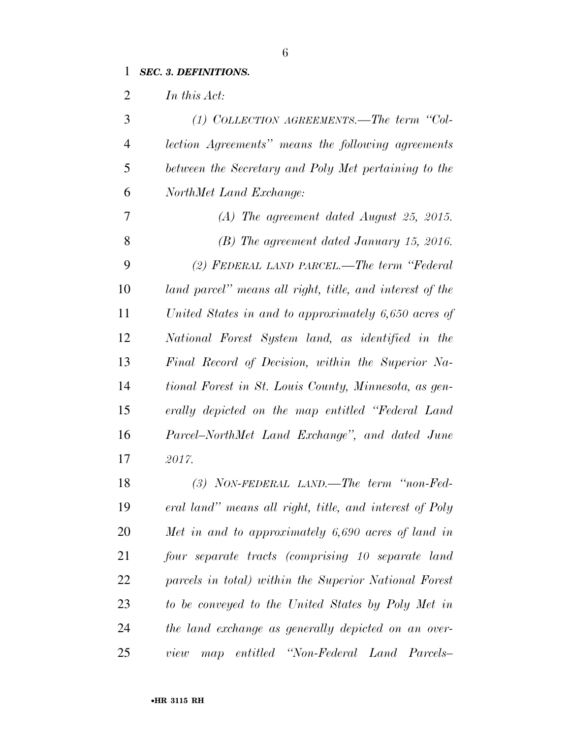# *SEC. 3. DEFINITIONS.*

*In this Act:* 

| 3              | (1) COLLECTION AGREEMENTS.—The term "Col-                |
|----------------|----------------------------------------------------------|
| $\overline{4}$ | lection Agreements" means the following agreements       |
| 5              | between the Secretary and Poly Met pertaining to the     |
| 6              | NorthMet Land Exchange:                                  |
| 7              | $(A)$ The agreement dated August 25, 2015.               |
| 8              | $(B)$ The agreement dated January 15, 2016.              |
| 9              | (2) FEDERAL LAND PARCEL.—The term "Federal"              |
| 10             | land parcel" means all right, title, and interest of the |
| 11             | United States in and to approximately 6,650 acres of     |
| 12             | National Forest System land, as identified in the        |
| 13             | Final Record of Decision, within the Superior Na-        |
| 14             | tional Forest in St. Louis County, Minnesota, as gen-    |
| 15             | erally depicted on the map entitled "Federal Land"       |
| 16             | Parcel–NorthMet Land Exchange", and dated June           |
| 17             | 2017.                                                    |
| 18             | $(3)$ NON-FEDERAL LAND. The term "non-Fed-               |
| 19             | eral land" means all right, title, and interest of Poly  |
| 20             | Met in and to approximately $6,690$ acres of land in     |
| 21             | four separate tracts (comprising 10 separate land        |
| 22             | parcels in total) within the Superior National Forest    |
| 23             | to be conveyed to the United States by Poly Met in       |
| 24             | the land exchange as generally depicted on an over-      |
|                |                                                          |

*view map entitled ''Non-Federal Land Parcels–*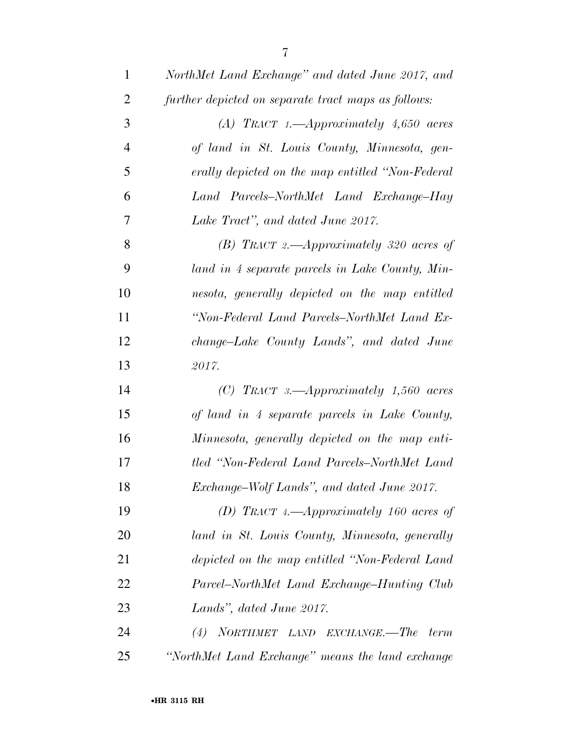| $\mathbf{1}$   | NorthMet Land Exchange" and dated June 2017, and    |
|----------------|-----------------------------------------------------|
| $\overline{2}$ | further depicted on separate tract maps as follows: |
| 3              | (A) TRACT 1.—Approximately $4,650$ acres            |
| $\overline{4}$ | of land in St. Louis County, Minnesota, gen-        |
| 5              | erally depicted on the map entitled "Non-Federal"   |
| 6              | Land Parcels–NorthMet Land Exchange–Hay             |
| 7              | Lake Tract", and dated June 2017.                   |
| 8              | (B) TRACT 2.—Approximately 320 acres of             |
| 9              | land in 4 separate parcels in Lake County, Min-     |
| 10             | nesota, generally depicted on the map entitled      |
| 11             | "Non-Federal Land Parcels-NorthMet Land Ex-         |
| 12             | change–Lake County Lands", and dated June           |
| 13             | 2017.                                               |
| 14             | (C) TRACT 3.—Approximately $1,560$ acres            |
| 15             | of land in 4 separate parcels in Lake County,       |
| 16             | Minnesota, generally depicted on the map enti-      |
| 17             | tled "Non-Federal Land Parcels-NorthMet Land        |
| 18             | Exchange-Wolf Lands", and dated June 2017.          |
| 19             | (D) TRACT 4.—Approximately 160 acres of             |
| 20             | land in St. Louis County, Minnesota, generally      |
| 21             | depicted on the map entitled "Non-Federal Land      |
| 22             | Parcel–NorthMet Land Exchange–Hunting Club          |
| 23             | Lands", dated June 2017.                            |
| 24             | NORTHMET LAND EXCHANGE.—The<br>(4)<br>term          |
| 25             | "NorthMet Land Exchange" means the land exchange    |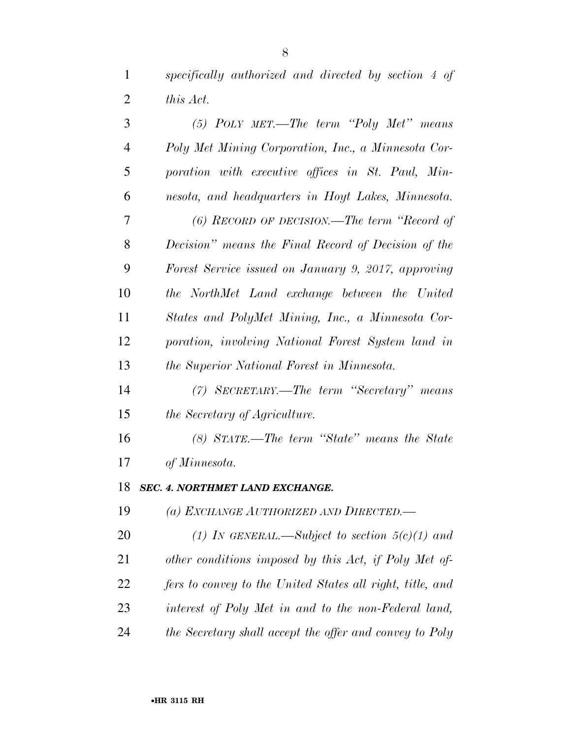*specifically authorized and directed by section 4 of this Act.* 

| 3              | $(5)$ POLY MET.—The term "Poly Met" means                 |
|----------------|-----------------------------------------------------------|
| $\overline{4}$ | Poly Met Mining Corporation, Inc., a Minnesota Cor-       |
| 5              | poration with executive offices in St. Paul, Min-         |
| 6              | nesota, and headquarters in Hoyt Lakes, Minnesota.        |
| 7              | $(6)$ RECORD OF DECISION.—The term "Record of             |
| 8              | Decision" means the Final Record of Decision of the       |
| 9              | Forest Service issued on January 9, 2017, approving       |
| 10             | the NorthMet Land exchange between the United             |
| 11             | States and PolyMet Mining, Inc., a Minnesota Cor-         |
| 12             | poration, involving National Forest System land in        |
| 13             | the Superior National Forest in Minnesota.                |
| 14             | (7) SECRETARY.—The term "Secretary" means                 |
| 15             | <i>the Secretary of Agriculture.</i>                      |
| 16             | (8) STATE.—The term "State" means the State               |
| 17             | of Minnesota.                                             |
| 18             | <b>SEC. 4. NORTHMET LAND EXCHANGE.</b>                    |
| 19             | (a) EXCHANGE AUTHORIZED AND DIRECTED.—                    |
| 20             | (1) IN GENERAL.—Subject to section $5(c)(1)$ and          |
| 21             | other conditions imposed by this Act, if Poly Met of      |
| 22             | fers to convey to the United States all right, title, and |
| 23             | interest of Poly Met in and to the non-Federal land,      |
| 24             | the Secretary shall accept the offer and convey to Poly   |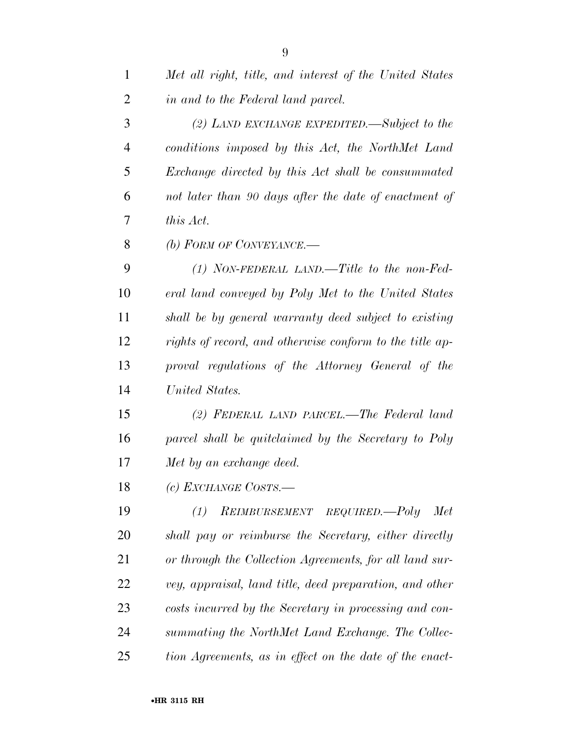| $\mathbf{1}$   | Met all right, title, and interest of the United States  |
|----------------|----------------------------------------------------------|
| $\overline{2}$ | in and to the Federal land parcel.                       |
| 3              | (2) LAND EXCHANGE EXPEDITED.—Subject to the              |
| $\overline{4}$ | conditions imposed by this Act, the NorthMet Land        |
| 5              | Exchange directed by this Act shall be consummated       |
| 6              | not later than 90 days after the date of enactment of    |
| 7              | this Act.                                                |
| 8              | (b) FORM OF CONVEYANCE.—                                 |
| 9              | $(1)$ NON-FEDERAL LAND.—Title to the non-Fed-            |
| 10             | eral land conveyed by Poly Met to the United States      |
| 11             | shall be by general warranty deed subject to existing    |
| 12             | rights of record, and otherwise conform to the title ap- |
| 13             | proval regulations of the Attorney General of the        |
| 14             | United States.                                           |
| 15             | (2) FEDERAL LAND PARCEL.—The Federal land                |
| 16             | parcel shall be quitclaimed by the Secretary to Poly     |
| 17             | Met by an exchange deed.                                 |
| 18             | (c) EXCHANGE COSTS.                                      |
| 19             | REIMBURSEMENT REQUIRED.-Poly<br>Met<br>(1)               |
| 20             | shall pay or reimburse the Secretary, either directly    |
| 21             | or through the Collection Agreements, for all land sur-  |
| 22             | vey, appraisal, land title, deed preparation, and other  |
| 23             | costs incurred by the Secretary in processing and con-   |
| 24             | summating the NorthMet Land Exchange. The Collec-        |
| 25             | tion Agreements, as in effect on the date of the enact-  |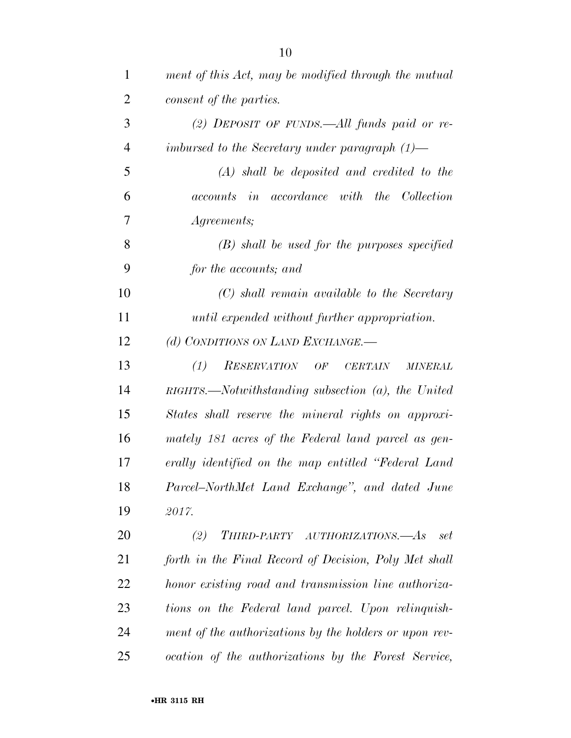| $\mathbf{1}$   | ment of this Act, may be modified through the mutual                |
|----------------|---------------------------------------------------------------------|
| $\overline{2}$ | consent of the parties.                                             |
| 3              | (2) DEPOSIT OF FUNDS.—All funds paid or re-                         |
| $\overline{4}$ | imbursed to the Secretary under paragraph $(1)$ —                   |
| 5              | $(A)$ shall be deposited and credited to the                        |
| 6              | accounts in accordance with the Collection                          |
| 7              | <i>Agreements</i> ;                                                 |
| 8              | $(B)$ shall be used for the purposes specified                      |
| 9              | for the accounts; and                                               |
| 10             | (C) shall remain available to the Secretary                         |
| 11             | until expended without further appropriation.                       |
| 12             | (d) CONDITIONS ON LAND EXCHANGE.-                                   |
| 13             | (1)<br><b>RESERVATION</b><br>OF<br><b>CERTAIN</b><br><b>MINERAL</b> |
| 14             | $RIGHTS.$ Notwithstanding subsection $(a)$ , the United             |
| 15             | States shall reserve the mineral rights on approxi-                 |
| 16             | mately 181 acres of the Federal land parcel as gen-                 |
| 17             | erally identified on the map entitled "Federal Land                 |
| 18             | Parcel-NorthMet Land Exchange", and dated June                      |
| 19             | 2017.                                                               |
| <b>20</b>      | THIRD-PARTY AUTHORIZATIONS.-As<br>(2)<br>set                        |
| 21             | forth in the Final Record of Decision, Poly Met shall               |
| 22             | honor existing road and transmission line authoriza-                |
| 23             | tions on the Federal land parcel. Upon relinquish-                  |
| 24             | ment of the authorizations by the holders or upon rev-              |
| 25             | ocation of the authorizations by the Forest Service,                |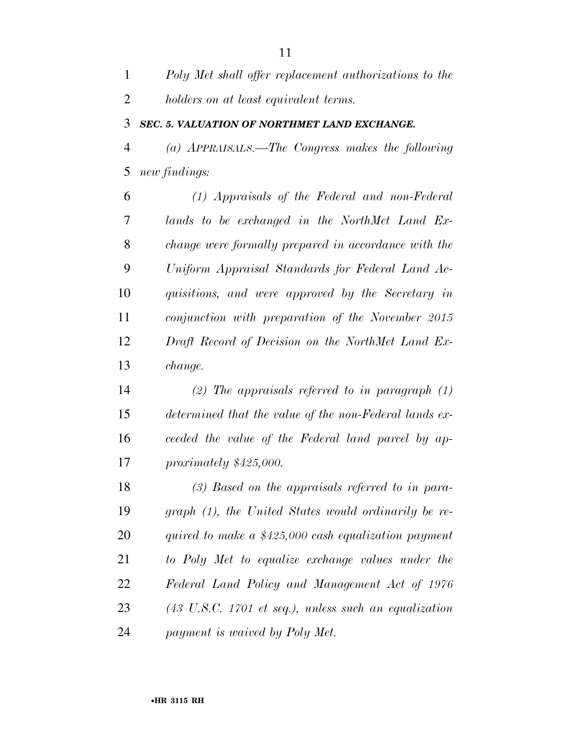*Poly Met shall offer replacement authorizations to the holders on at least equivalent terms.* 

#### *SEC. 5. VALUATION OF NORTHMET LAND EXCHANGE.*

 *(a) APPRAISALS.—The Congress makes the following new findings:* 

 *(1) Appraisals of the Federal and non-Federal lands to be exchanged in the NorthMet Land Ex- change were formally prepared in accordance with the Uniform Appraisal Standards for Federal Land Ac- quisitions, and were approved by the Secretary in conjunction with preparation of the November 2015 Draft Record of Decision on the NorthMet Land Ex-change.* 

 *(2) The appraisals referred to in paragraph (1) determined that the value of the non-Federal lands ex- ceeded the value of the Federal land parcel by ap-proximately \$425,000.* 

 *(3) Based on the appraisals referred to in para- graph (1), the United States would ordinarily be re- quired to make a \$425,000 cash equalization payment to Poly Met to equalize exchange values under the Federal Land Policy and Management Act of 1976 (43 U.S.C. 1701 et seq.), unless such an equalization payment is waived by Poly Met.*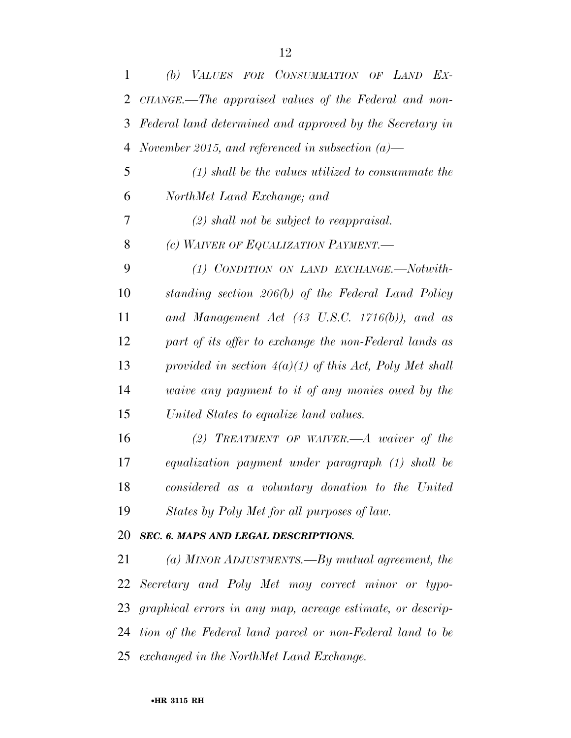| $\mathbf{1}$ | (b) VALUES FOR CONSUMMATION OF LAND EX-                    |
|--------------|------------------------------------------------------------|
| 2            | CHANGE.—The appraised values of the Federal and non-       |
| 3            | Federal land determined and approved by the Secretary in   |
| 4            | November 2015, and referenced in subsection $(a)$ —        |
| 5            | $(1)$ shall be the values utilized to consummate the       |
| 6            | NorthMet Land Exchange; and                                |
| 7            | $(2)$ shall not be subject to reappraisal.                 |
| 8            | (c) WAIVER OF EQUALIZATION PAYMENT.                        |
| 9            | (1) CONDITION ON LAND EXCHANGE.-Notwith-                   |
| 10           | standing section 206(b) of the Federal Land Policy         |
| 11           | and Management Act (43 U.S.C. 1716(b)), and as             |
| 12           | part of its offer to exchange the non-Federal lands as     |
| 13           | provided in section $4(a)(1)$ of this Act, Poly Met shall  |
| 14           | <i>vaive any payment to it of any monies owed by the</i>   |
| 15           | United States to equalize land values.                     |
| 16           | $(2)$ TREATMENT OF WAIVER.—A waiver of the                 |
| 17           | equalization payment under paragraph (1) shall be          |
| 18           | considered as a voluntary donation to the United           |
| 19           | States by Poly Met for all purposes of law.                |
| 20           | SEC. 6. MAPS AND LEGAL DESCRIPTIONS.                       |
| 21           | (a) MINOR ADJUSTMENTS.—By mutual agreement, the            |
| 22           | Secretary and Poly Met may correct minor or typo-          |
| 23           | graphical errors in any map, acreage estimate, or descrip- |
| 24           | tion of the Federal land parcel or non-Federal land to be  |
| 25           | exchanged in the NorthMet Land Exchange.                   |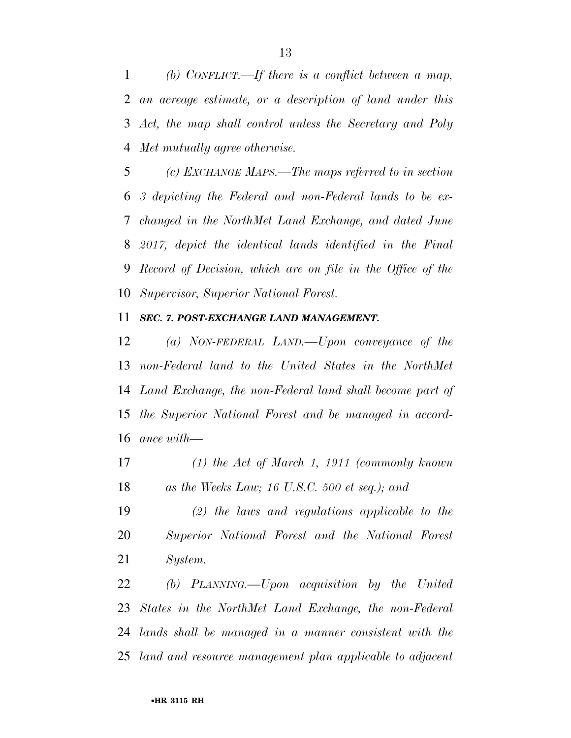*(b) CONFLICT.—If there is a conflict between a map, an acreage estimate, or a description of land under this Act, the map shall control unless the Secretary and Poly Met mutually agree otherwise.* 

 *(c) EXCHANGE MAPS.—The maps referred to in section 3 depicting the Federal and non-Federal lands to be ex- changed in the NorthMet Land Exchange, and dated June 2017, depict the identical lands identified in the Final Record of Decision, which are on file in the Office of the Supervisor, Superior National Forest.* 

### *SEC. 7. POST-EXCHANGE LAND MANAGEMENT.*

 *(a) NON-FEDERAL LAND.—Upon conveyance of the non-Federal land to the United States in the NorthMet Land Exchange, the non-Federal land shall become part of the Superior National Forest and be managed in accord-ance with—* 

 *(1) the Act of March 1, 1911 (commonly known as the Weeks Law; 16 U.S.C. 500 et seq.); and* 

 *(2) the laws and regulations applicable to the Superior National Forest and the National Forest System.* 

 *(b) PLANNING.—Upon acquisition by the United States in the NorthMet Land Exchange, the non-Federal lands shall be managed in a manner consistent with the land and resource management plan applicable to adjacent*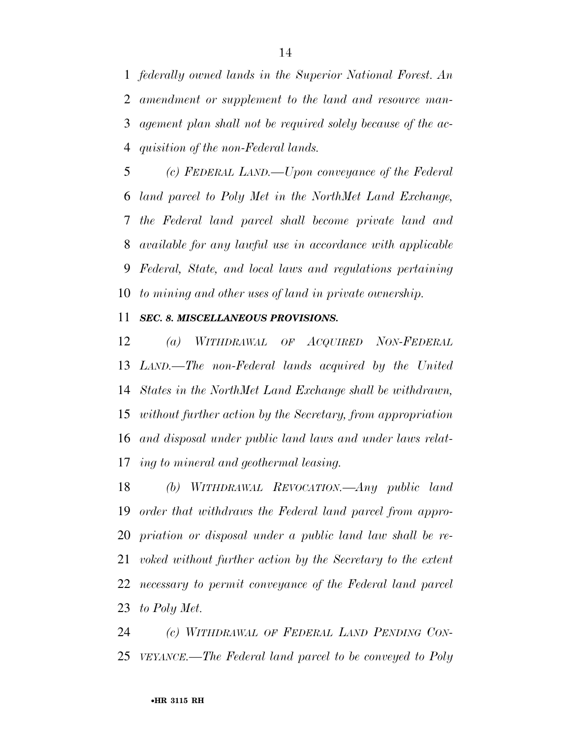*federally owned lands in the Superior National Forest. An amendment or supplement to the land and resource man- agement plan shall not be required solely because of the ac-quisition of the non-Federal lands.* 

 *(c) FEDERAL LAND.—Upon conveyance of the Federal land parcel to Poly Met in the NorthMet Land Exchange, the Federal land parcel shall become private land and available for any lawful use in accordance with applicable Federal, State, and local laws and regulations pertaining to mining and other uses of land in private ownership.* 

### *SEC. 8. MISCELLANEOUS PROVISIONS.*

 *(a) WITHDRAWAL OF ACQUIRED NON-FEDERAL LAND.—The non-Federal lands acquired by the United States in the NorthMet Land Exchange shall be withdrawn, without further action by the Secretary, from appropriation and disposal under public land laws and under laws relat-ing to mineral and geothermal leasing.* 

 *(b) WITHDRAWAL REVOCATION.—Any public land order that withdraws the Federal land parcel from appro- priation or disposal under a public land law shall be re- voked without further action by the Secretary to the extent necessary to permit conveyance of the Federal land parcel to Poly Met.* 

 *(c) WITHDRAWAL OF FEDERAL LAND PENDING CON-VEYANCE.—The Federal land parcel to be conveyed to Poly*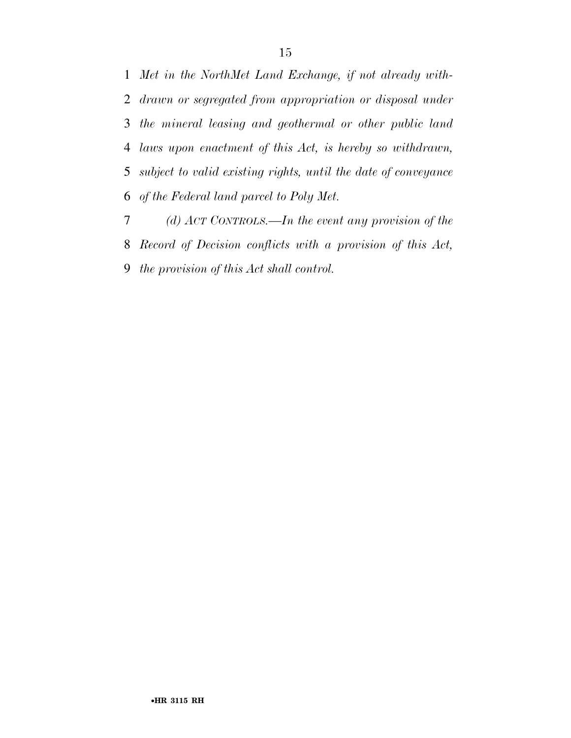*Met in the NorthMet Land Exchange, if not already with- drawn or segregated from appropriation or disposal under the mineral leasing and geothermal or other public land laws upon enactment of this Act, is hereby so withdrawn, subject to valid existing rights, until the date of conveyance of the Federal land parcel to Poly Met.* 

 *(d) ACT CONTROLS.—In the event any provision of the Record of Decision conflicts with a provision of this Act, the provision of this Act shall control.*